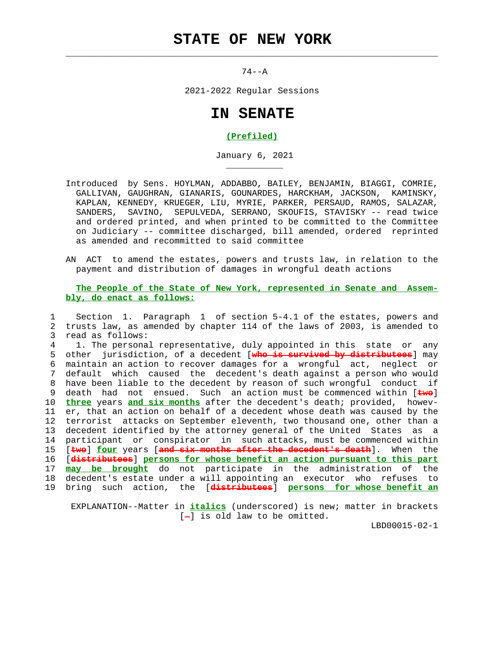## **STATE OF NEW YORK**

 $\mathcal{L}_\text{max} = \frac{1}{2} \sum_{i=1}^{n} \frac{1}{2} \sum_{i=1}^{n} \frac{1}{2} \sum_{i=1}^{n} \frac{1}{2} \sum_{i=1}^{n} \frac{1}{2} \sum_{i=1}^{n} \frac{1}{2} \sum_{i=1}^{n} \frac{1}{2} \sum_{i=1}^{n} \frac{1}{2} \sum_{i=1}^{n} \frac{1}{2} \sum_{i=1}^{n} \frac{1}{2} \sum_{i=1}^{n} \frac{1}{2} \sum_{i=1}^{n} \frac{1}{2} \sum_{i=1}^{n} \frac{1$ 

\_\_\_\_\_\_\_\_\_\_\_

 $74--A$ 

2021-2022 Regular Sessions

## **IN SENATE**

## **(Prefiled)**

January 6, 2021

- Introduced by Sens. HOYLMAN, ADDABBO, BAILEY, BENJAMIN, BIAGGI, COMRIE, GALLIVAN, GAUGHRAN, GIANARIS, GOUNARDES, HARCKHAM, JACKSON, KAMINSKY, KAPLAN, KENNEDY, KRUEGER, LIU, MYRIE, PARKER, PERSAUD, RAMOS, SALAZAR, SANDERS, SAVINO, SEPULVEDA, SERRANO, SKOUFIS, STAVISKY -- read twice and ordered printed, and when printed to be committed to the Committee on Judiciary -- committee discharged, bill amended, ordered reprinted as amended and recommitted to said committee
- AN ACT to amend the estates, powers and trusts law, in relation to the payment and distribution of damages in wrongful death actions

## **The People of the State of New York, represented in Senate and Assem bly, do enact as follows:**

 1 Section 1. Paragraph 1 of section 5-4.1 of the estates, powers and 2 trusts law, as amended by chapter 114 of the laws of 2003, is amended to 3 read as follows:

 4 1. The personal representative, duly appointed in this state or any 5 other jurisdiction, of a decedent [**who is survived by distributees**] may 6 maintain an action to recover damages for a wrongful act, neglect or 7 default which caused the decedent's death against a person who would 8 have been liable to the decedent by reason of such wrongful conduct if 9 death had not ensued. Such an action must be commenced within [**two**] 10 **three** years **and six months** after the decedent's death; provided, howev- 11 er, that an action on behalf of a decedent whose death was caused by the 12 terrorist attacks on September eleventh, two thousand one, other than a 13 decedent identified by the attorney general of the United States as a 14 participant or conspirator in such attacks, must be commenced within 15 [**two**] **four** years [**and six months after the decedent's death**]. When the 16 [**distributees**] **persons for whose benefit an action pursuant to this part** 17 **may be brought** do not participate in the administration of the 18 decedent's estate under a will appointing an executor who refuses to 19 bring such action, the [**distributees**] **persons for whose benefit an**

 EXPLANATION--Matter in **italics** (underscored) is new; matter in brackets  $[-]$  is old law to be omitted.

LBD00015-02-1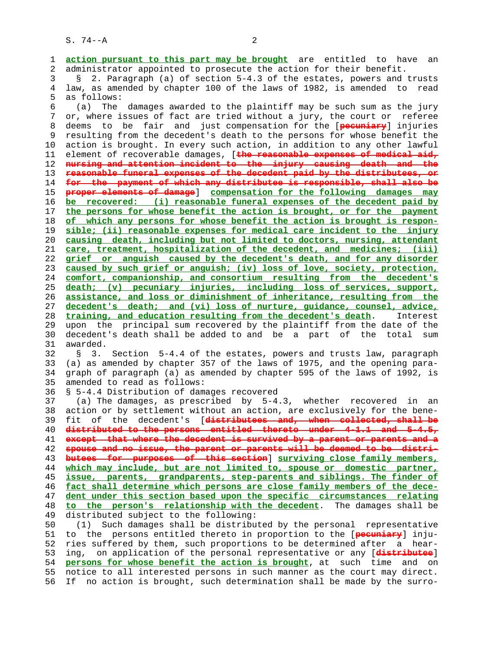1 **action pursuant to this part may be brought** are entitled to have an 2 administrator appointed to prosecute the action for their benefit.

 3 § 2. Paragraph (a) of section 5-4.3 of the estates, powers and trusts 4 law, as amended by chapter 100 of the laws of 1982, is amended to read 5 as follows:

 6 (a) The damages awarded to the plaintiff may be such sum as the jury 7 or, where issues of fact are tried without a jury, the court or referee 8 deems to be fair and just compensation for the [**pecuniary**] injuries 9 resulting from the decedent's death to the persons for whose benefit the 10 action is brought. In every such action, in addition to any other lawful 11 element of recoverable damages, [**the reasonable expenses of medical aid, nursing and attention incident to the injury causing death and the reasonable funeral expenses of the decedent paid by the distributees, or for the payment of which any distributee is responsible, shall also be proper elements of damage**] **compensation for the following damages may be recovered: (i) reasonable funeral expenses of the decedent paid by the persons for whose benefit the action is brought, or for the payment of which any persons for whose benefit the action is brought is respon- sible; (ii) reasonable expenses for medical care incident to the injury causing death, including but not limited to doctors, nursing, attendant care, treatment, hospitalization of the decedent, and medicines; (iii) grief or anguish caused by the decedent's death, and for any disorder caused by such grief or anguish; (iv) loss of love, society, protection, comfort, companionship, and consortium resulting from the decedent's death; (v) pecuniary injuries, including loss of services, support, assistance, and loss or diminishment of inheritance, resulting from the decedent's death; and (vi) loss of nurture, guidance, counsel, advice, training, and education resulting from the decedent's death**. Interest 29 upon the principal sum recovered by the plaintiff from the date of the 30 decedent's death shall be added to and be a part of the total sum 31 awarded.

 32 § 3. Section 5-4.4 of the estates, powers and trusts law, paragraph 33 (a) as amended by chapter 357 of the laws of 1975, and the opening para- 34 graph of paragraph (a) as amended by chapter 595 of the laws of 1992, is 35 amended to read as follows:

36 § 5-4.4 Distribution of damages recovered

 37 (a) The damages, as prescribed by 5-4.3, whether recovered in an 38 action or by settlement without an action, are exclusively for the bene- 39 fit of the decedent's [**distributees and, when collected, shall be distributed to the persons entitled thereto under 4-1.1 and 5-4.5, except that where the decedent is survived by a parent or parents and a spouse and no issue, the parent or parents will be deemed to be distri- butees for purposes of this section**] **surviving close family members, which may include, but are not limited to, spouse or domestic partner, issue, parents, grandparents, step-parents and siblings. The finder of fact shall determine which persons are close family members of the dece- dent under this section based upon the specific circumstances relating to the person's relationship with the decedent**. The damages shall be 49 distributed subject to the following:

 50 (1) Such damages shall be distributed by the personal representative 51 to the persons entitled thereto in proportion to the [**pecuniary**] inju- 52 ries suffered by them, such proportions to be determined after a hear- 53 ing, on application of the personal representative or any [**distributee**] 54 **persons for whose benefit the action is brought**, at such time and on 55 notice to all interested persons in such manner as the court may direct. 56 If no action is brought, such determination shall be made by the surro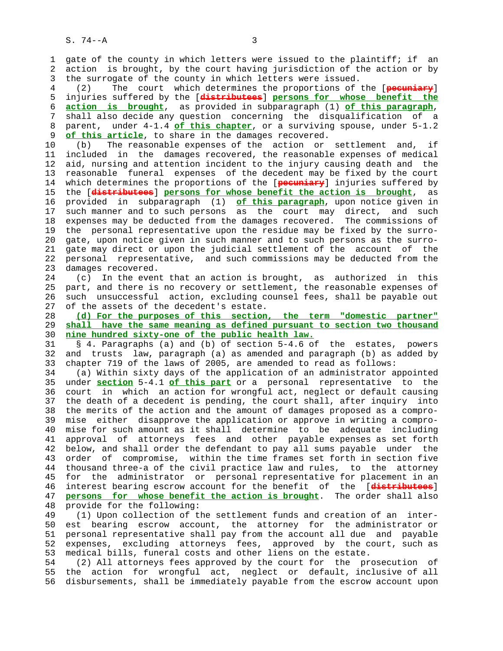1 gate of the county in which letters were issued to the plaintiff; if an 2 action is brought, by the court having jurisdiction of the action or by 3 the surrogate of the county in which letters were issued.

 4 (2) The court which determines the proportions of the [**pecuniary**] 5 injuries suffered by the [**distributees**] **persons for whose benefit the** 6 **action is brought**, as provided in subparagraph (1) **of this paragraph**, 7 shall also decide any question concerning the disqualification of a 8 parent, under 4-1.4 of this chapter, or a surviving spouse, under 5-1.2<br>9 of this article, to share in the damages recovered. of this article, to share in the damages recovered.

 10 (b) The reasonable expenses of the action or settlement and, if 11 included in the damages recovered, the reasonable expenses of medical 12 aid, nursing and attention incident to the injury causing death and the 13 reasonable funeral expenses of the decedent may be fixed by the court 14 which determines the proportions of the [**pecuniary**] injuries suffered by 15 the [**distributees**] **persons for whose benefit the action is brought**, as 16 provided in subparagraph (1) **of this paragraph**, upon notice given in 17 such manner and to such persons as the court may direct, and such 18 expenses may be deducted from the damages recovered. The commissions of 19 the personal representative upon the residue may be fixed by the surro- 20 gate, upon notice given in such manner and to such persons as the surro- 21 gate may direct or upon the judicial settlement of the account of the 22 personal representative, and such commissions may be deducted from the 23 damages recovered.

 24 (c) In the event that an action is brought, as authorized in this 25 part, and there is no recovery or settlement, the reasonable expenses of 26 such unsuccessful action, excluding counsel fees, shall be payable out 27 of the assets of the decedent's estate.

 28 **(d) For the purposes of this section, the term "domestic partner"** 29 **shall have the same meaning as defined pursuant to section two thousand** 30 **nine hundred sixty-one of the public health law.**

 31 § 4. Paragraphs (a) and (b) of section 5-4.6 of the estates, powers 32 and trusts law, paragraph (a) as amended and paragraph (b) as added by 33 chapter 719 of the laws of 2005, are amended to read as follows:

 34 (a) Within sixty days of the application of an administrator appointed 35 under **section** 5-4.1 **of this part** or a personal representative to the 36 court in which an action for wrongful act, neglect or default causing 37 the death of a decedent is pending, the court shall, after inquiry into 38 the merits of the action and the amount of damages proposed as a compro- 39 mise either disapprove the application or approve in writing a compro- 40 mise for such amount as it shall determine to be adequate including 41 approval of attorneys fees and other payable expenses as set forth 42 below, and shall order the defendant to pay all sums payable under the 43 order of compromise, within the time frames set forth in section five 44 thousand three-a of the civil practice law and rules, to the attorney 45 for the administrator or personal representative for placement in an 46 interest bearing escrow account for the benefit of the [**distributees**] 47 **persons for whose benefit the action is brought**. The order shall also 48 provide for the following:

 49 (1) Upon collection of the settlement funds and creation of an inter- 50 est bearing escrow account, the attorney for the administrator or 51 personal representative shall pay from the account all due and payable 52 expenses, excluding attorneys fees, approved by the court, such as 53 medical bills, funeral costs and other liens on the estate.

 54 (2) All attorneys fees approved by the court for the prosecution of 55 the action for wrongful act, neglect or default, inclusive of all 56 disbursements, shall be immediately payable from the escrow account upon